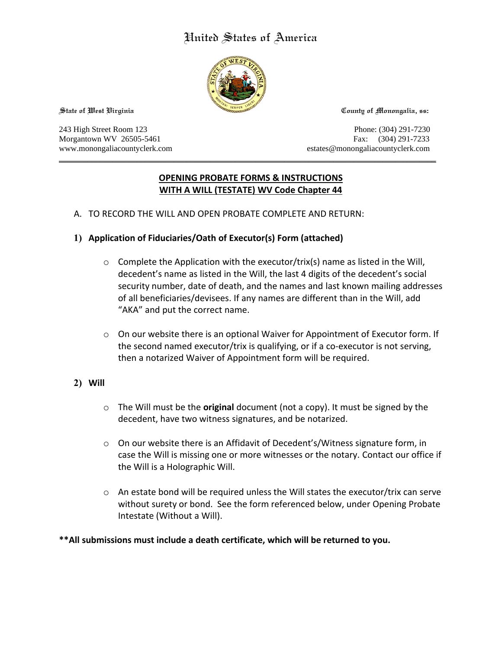# United States of America



**State of West Virginia County of Monongalia, ss:**

243 High Street Room 123 Phone: (304) 291-7230 Morgantown WV 26505-5461 Fax: (304) 291-7233 www.monongaliacountyclerk.com estates@monongaliacountyclerk.com

# **OPENING PROBATE FORMS & INSTRUCTIONS WITH A WILL (TESTATE) WV Code Chapter 44**

\_\_\_\_\_\_\_\_\_\_\_\_\_\_\_\_\_\_\_\_\_\_\_\_\_\_\_\_\_\_\_\_\_\_\_\_\_\_\_\_\_\_\_\_\_\_\_\_\_\_\_\_\_\_\_\_\_\_\_\_\_\_\_\_\_\_\_\_\_\_\_\_\_\_\_\_\_\_\_\_\_\_\_\_\_\_\_\_\_\_\_\_

A. TO RECORD THE WILL AND OPEN PROBATE COMPLETE AND RETURN:

### **1) Application of Fiduciaries/Oath of Executor(s) Form (attached)**

- $\circ$  Complete the Application with the executor/trix(s) name as listed in the Will, decedent's name as listed in the Will, the last 4 digits of the decedent's social security number, date of death, and the names and last known mailing addresses of all beneficiaries/devisees. If any names are different than in the Will, add "AKA" and put the correct name.
- $\circ$  On our website there is an optional Waiver for Appointment of Executor form. If the second named executor/trix is qualifying, or if a co-executor is not serving, then a notarized Waiver of Appointment form will be required.

# **2) Will**

- o The Will must be the **original** document (not a copy). It must be signed by the decedent, have two witness signatures, and be notarized.
- $\circ$  On our website there is an Affidavit of Decedent's/Witness signature form, in case the Will is missing one or more witnesses or the notary. Contact our office if the Will is a Holographic Will.
- $\circ$  An estate bond will be required unless the Will states the executor/trix can serve without surety or bond. See the form referenced below, under Opening Probate Intestate (Without a Will).

#### **\*\*All submissions must include a death certificate, which will be returned to you.**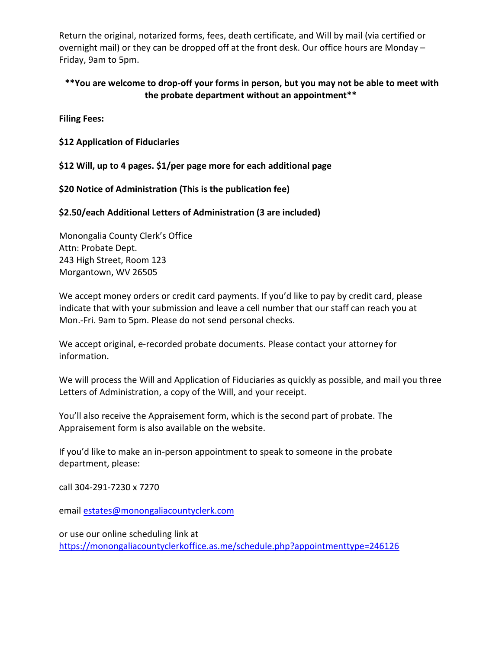Return the original, notarized forms, fees, death certificate, and Will by mail (via certified or overnight mail) or they can be dropped off at the front desk. Our office hours are Monday – Friday, 9am to 5pm.

# **\*\*You are welcome to drop-off your forms in person, but you may not be able to meet with the probate department without an appointment\*\***

**Filing Fees:**

**\$12 Application of Fiduciaries**

**\$12 Will, up to 4 pages. \$1/per page more for each additional page**

**\$20 Notice of Administration (This is the publication fee)**

**\$2.50/each Additional Letters of Administration (3 are included)**

Monongalia County Clerk's Office Attn: Probate Dept. 243 High Street, Room 123 Morgantown, WV 26505

We accept money orders or credit card payments. If you'd like to pay by credit card, please indicate that with your submission and leave a cell number that our staff can reach you at Mon.-Fri. 9am to 5pm. Please do not send personal checks.

We accept original, e-recorded probate documents. Please contact your attorney for information.

We will process the Will and Application of Fiduciaries as quickly as possible, and mail you three Letters of Administration, a copy of the Will, and your receipt.

You'll also receive the Appraisement form, which is the second part of probate. The Appraisement form is also available on the website.

If you'd like to make an in-person appointment to speak to someone in the probate department, please:

call 304-291-7230 x 7270

email [estates@monongaliacountyclerk.com](mailto:ESTATES@MONONGALIACOUNTYCLERK.COM)

or use our online scheduling link at [https://monongaliacountyclerkoffice.as.me/schedule.php?appointmenttype=246126](https://monongaliacountyclerkoffice.as.me/schedule.php?appointmentType=246126)